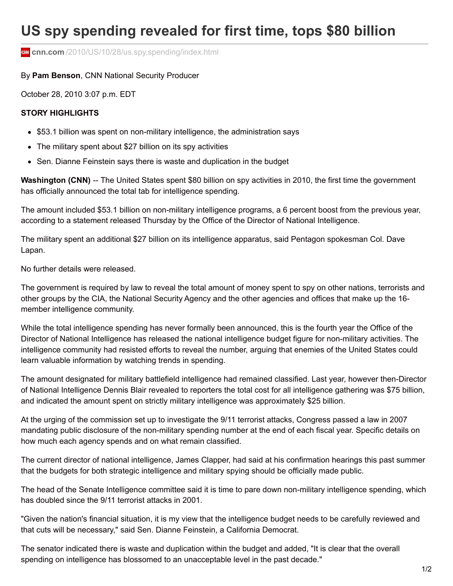## **US spy spending revealed for first time, tops \$80 billion**

**cm** cnn.com[/2010/US/10/28/us.spy.spending/index.html](http://www.cnn.com/2010/US/10/28/us.spy.spending/index.html)

## By **Pam Benson**, CNN National Security Producer

October 28, 2010 3:07 p.m. EDT

## **STORY HIGHLIGHTS**

- \$53.1 billion was spent on non-military intelligence, the administration says
- The military spent about \$27 billion on its spy activities
- Sen. Dianne Feinstein says there is waste and duplication in the budget

**Washington (CNN)** -- The United States spent \$80 billion on spy activities in 2010, the first time the government has officially announced the total tab for intelligence spending.

The amount included \$53.1 billion on non-military intelligence programs, a 6 percent boost from the previous year, according to a statement released Thursday by the Office of the Director of National Intelligence.

The military spent an additional \$27 billion on its intelligence apparatus, said Pentagon spokesman Col. Dave Lapan.

No further details were released.

The government is required by law to reveal the total amount of money spent to spy on other nations, terrorists and other groups by the CIA, the National Security Agency and the other agencies and offices that make up the 16 member intelligence community.

While the total intelligence spending has never formally been announced, this is the fourth year the Office of the Director of National Intelligence has released the national intelligence budget figure for non-military activities. The intelligence community had resisted efforts to reveal the number, arguing that enemies of the United States could learn valuable information by watching trends in spending.

The amount designated for military battlefield intelligence had remained classified. Last year, however then-Director of National Intelligence Dennis Blair revealed to reporters the total cost for all intelligence gathering was \$75 billion, and indicated the amount spent on strictly military intelligence was approximately \$25 billion.

At the urging of the commission set up to investigate the 9/11 terrorist attacks, Congress passed a law in 2007 mandating public disclosure of the non-military spending number at the end of each fiscal year. Specific details on how much each agency spends and on what remain classified.

The current director of national intelligence, James Clapper, had said at his confirmation hearings this past summer that the budgets for both strategic intelligence and military spying should be officially made public.

The head of the Senate Intelligence committee said it is time to pare down non-military intelligence spending, which has doubled since the 9/11 terrorist attacks in 2001.

"Given the nation's financial situation, it is my view that the intelligence budget needs to be carefully reviewed and that cuts will be necessary," said Sen. Dianne Feinstein, a California Democrat.

The senator indicated there is waste and duplication within the budget and added, "It is clear that the overall spending on intelligence has blossomed to an unacceptable level in the past decade."